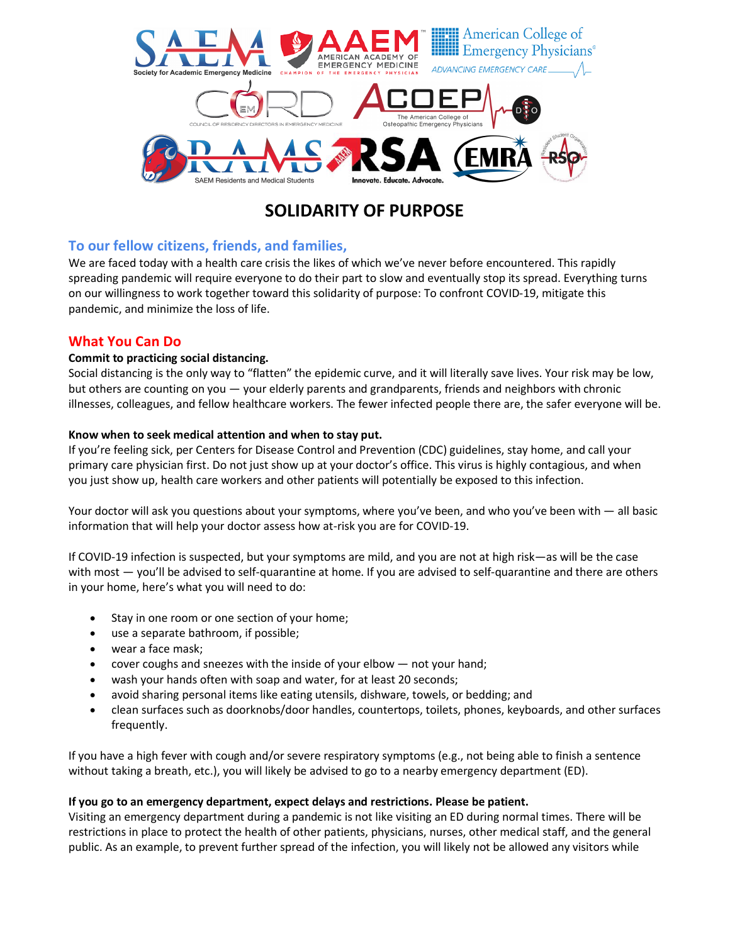

# **SOLIDARITY OF PURPOSE**

## **To our fellow citizens, friends, and families,**

We are faced today with a health care crisis the likes of which we've never before encountered. This rapidly spreading pandemic will require everyone to do their part to slow and eventually stop its spread. Everything turns on our willingness to work together toward this solidarity of purpose: To confront COVID-19, mitigate this pandemic, and minimize the loss of life.

## **What You Can Do**

### **Commit to practicing social distancing.**

Social distancing is the only way to "flatten" the epidemic curve, and it will literally save lives. Your risk may be low, but others are counting on you — your elderly parents and grandparents, friends and neighbors with chronic illnesses, colleagues, and fellow healthcare workers. The fewer infected people there are, the safer everyone will be.

### **Know when to seek medical attention and when to stay put.**

If you're feeling sick, per Centers for Disease Control and Prevention (CDC) guidelines, stay home, and call your primary care physician first. Do not just show up at your doctor's office. This virus is highly contagious, and when you just show up, health care workers and other patients will potentially be exposed to this infection.

Your doctor will ask you questions about your symptoms, where you've been, and who you've been with - all basic information that will help your doctor assess how at-risk you are for COVID-19.

If COVID-19 infection is suspected, but your symptoms are mild, and you are not at high risk—as will be the case with most — you'll be advised to self-quarantine at home. If you are advised to self-quarantine and there are others in your home, here's what you will need to do:

- Stay in one room or one section of your home;
- use a separate bathroom, if possible;
- wear a face mask;
- cover coughs and sneezes with the inside of your elbow  $-$  not your hand;
- wash your hands often with soap and water, for at least 20 seconds;
- avoid sharing personal items like eating utensils, dishware, towels, or bedding; and
- clean surfaces such as doorknobs/door handles, countertops, toilets, phones, keyboards, and other surfaces frequently.

If you have a high fever with cough and/or severe respiratory symptoms (e.g., not being able to finish a sentence without taking a breath, etc.), you will likely be advised to go to a nearby emergency department (ED).

### **If you go to an emergency department, expect delays and restrictions. Please be patient.**

Visiting an emergency department during a pandemic is not like visiting an ED during normal times. There will be restrictions in place to protect the health of other patients, physicians, nurses, other medical staff, and the general public. As an example, to prevent further spread of the infection, you will likely not be allowed any visitors while